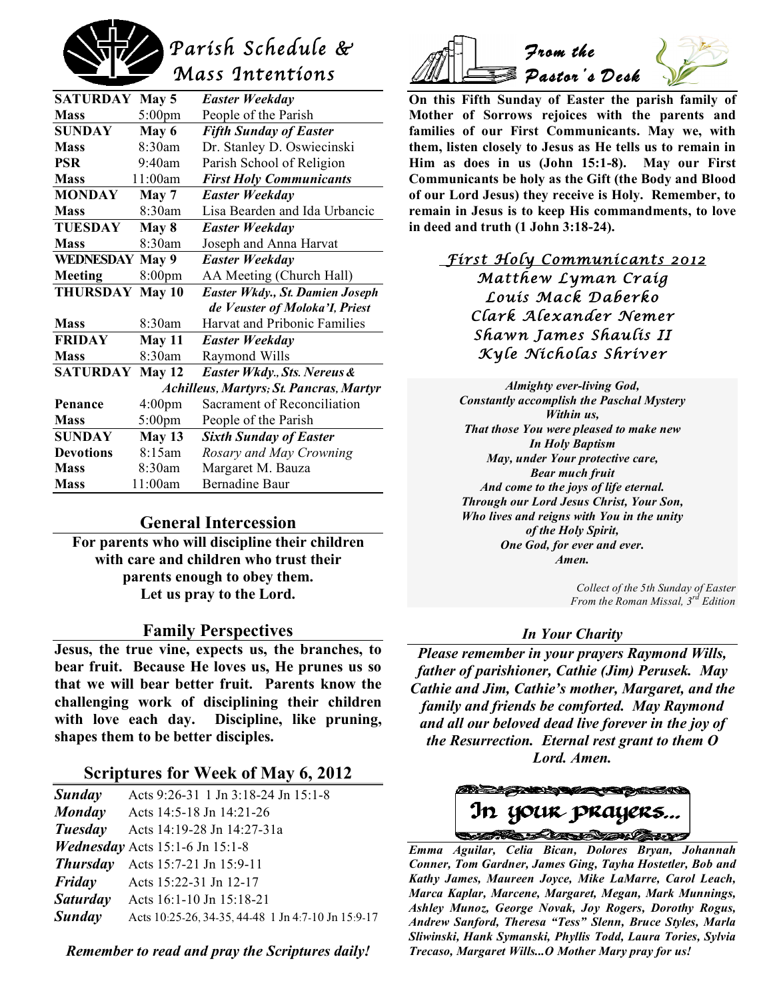

| <b>SATURDAY</b>                         | May 5            | <b>Easter Weekday</b>           |  |
|-----------------------------------------|------------------|---------------------------------|--|
| <b>Mass</b>                             | 5:00pm           | People of the Parish            |  |
| <b>SUNDAY</b>                           | May 6            | <b>Fifth Sunday of Easter</b>   |  |
| <b>Mass</b>                             | 8:30am           | Dr. Stanley D. Oswiecinski      |  |
| <b>PSR</b>                              | 9:40am           | Parish School of Religion       |  |
| <b>Mass</b>                             | 11:00am          | <b>First Holy Communicants</b>  |  |
| <b>MONDAY</b>                           | May 7            | <b>Easter Weekday</b>           |  |
| <b>Mass</b>                             | 8:30am           | Lisa Bearden and Ida Urbancic   |  |
| <b>TUESDAY</b>                          | May 8            | <b>Easter Weekday</b>           |  |
| <b>Mass</b>                             | 8:30am           | Joseph and Anna Harvat          |  |
| <b>WEDNESDAY May 9</b>                  |                  | <b>Easter Weekday</b>           |  |
| Meeting                                 | 8:00pm           | AA Meeting (Church Hall)        |  |
| <b>THURSDAY</b>                         | May 10           | Easter Wkdy., St. Damien Joseph |  |
|                                         |                  | de Veuster of Moloka'I, Priest  |  |
| <b>Mass</b>                             | 8:30am           | Harvat and Pribonic Families    |  |
| <b>FRIDAY</b>                           | May 11           | Easter Weekday                  |  |
| <b>Mass</b>                             | 8:30am           | Raymond Wills                   |  |
| <b>SATURDAY</b>                         | May $12$         | Easter Wkdy., Sts. Nereus &     |  |
| Achilleus, Martyrs; St. Pancras, Martyr |                  |                                 |  |
| Penance                                 | 4:00pm           | Sacrament of Reconciliation     |  |
| <b>Mass</b>                             | $5:00 \text{pm}$ | People of the Parish            |  |
| <b>SUNDAY</b>                           | <b>May 13</b>    | <b>Sixth Sunday of Easter</b>   |  |
| <b>Devotions</b>                        | 8:15am           | Rosary and May Crowning         |  |
| <b>Mass</b>                             | 8:30am           | Margaret M. Bauza               |  |
| <b>Mass</b>                             | 11:00am          | <b>Bernadine Baur</b>           |  |

# **General Intercession**

**For parents who will discipline their children with care and children who trust their parents enough to obey them. Let us pray to the Lord.**

#### **Family Perspectives**

**Jesus, the true vine, expects us, the branches, to bear fruit. Because He loves us, He prunes us so that we will bear better fruit. Parents know the challenging work of disciplining their children with love each day. Discipline, like pruning, shapes them to be better disciples.**

# **Scriptures for Week of May 6, 2012**

| Sunday          | Acts 9:26-31 1 Jn 3:18-24 Jn 15:1-8                |
|-----------------|----------------------------------------------------|
| Monday          | Acts 14:5-18 Jn 14:21-26                           |
| Tuesday         | Acts 14:19-28 Jn 14:27-31a                         |
|                 | <i>Wednesday</i> Acts 15:1-6 Jn 15:1-8             |
| <b>Thursday</b> | Acts 15:7-21 Jn 15:9-11                            |
| Friday          | Acts 15:22-31 Jn 12-17                             |
| <b>Saturday</b> | Acts 16:1-10 Jn 15:18-21                           |
| Sunday          | Acts 10:25-26, 34-35, 44-48 1 Jn 4:7-10 Jn 15:9-17 |

*Remember to read and pray the Scriptures daily!*



**On this Fifth Sunday of Easter the parish family of Mother of Sorrows rejoices with the parents and families of our First Communicants. May we, with them, listen closely to Jesus as He tells us to remain in Him as does in us (John 15:1-8). May our First Communicants be holy as the Gift (the Body and Blood of our Lord Jesus) they receive is Holy. Remember, to remain in Jesus is to keep His commandments, to love in deed and truth (1 John 3:18-24).**

 *First Holy Communicants 2012 Matthew Lyman Craig Louis Mack Daberko Clark Alexander Nemer Shawn James Shaulis II Kyle Nicholas Shriver* 

*Almighty ever-living God, Constantly accomplish the Paschal Mystery Within us, That those You were pleased to make new In Holy Baptism May, under Your protective care, Bear much fruit And come to the joys of life eternal. Through our Lord Jesus Christ, Your Son, Who lives and reigns with You in the unity of the Holy Spirit, One God, for ever and ever. Amen.*

> *Collect of the 5th Sunday of Easter From the Roman Missal, 3rd Edition*

#### *In Your Charity*

*Please remember in your prayers Raymond Wills, father of parishioner, Cathie (Jim) Perusek. May Cathie and Jim, Cathie's mother, Margaret, and the family and friends be comforted. May Raymond and all our beloved dead live forever in the joy of the Resurrection. Eternal rest grant to them O Lord. Amen.*

**RADIS CAR 73** In your prayers...

 *Emma Aguilar, Celia Bican, Dolores Bryan, Johannah Conner, Tom Gardner, James Ging, Tayha Hostetler, Bob and Kathy James, Maureen Joyce, Mike LaMarre, Carol Leach, Marca Kaplar, Marcene, Margaret, Megan, Mark Munnings, Ashley Munoz, George Novak, Joy Rogers, Dorothy Rogus, Andrew Sanford, Theresa "Tess" Slenn, Bruce Styles, Marla Sliwinski, Hank Symanski, Phyllis Todd, Laura Tories, Sylvia Trecaso, Margaret Wills...O Mother Mary pray for us!*